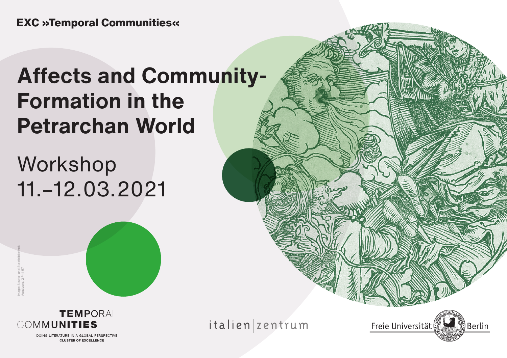# **Affects and Community-Formation in the Petrarchan World**

# Workshop 11.–12.03.2021





DOING LITERATURE IN A GLOBAL PERSPECTIVE **CLUSTER OF EXCELLENCE** 

italien zentrum